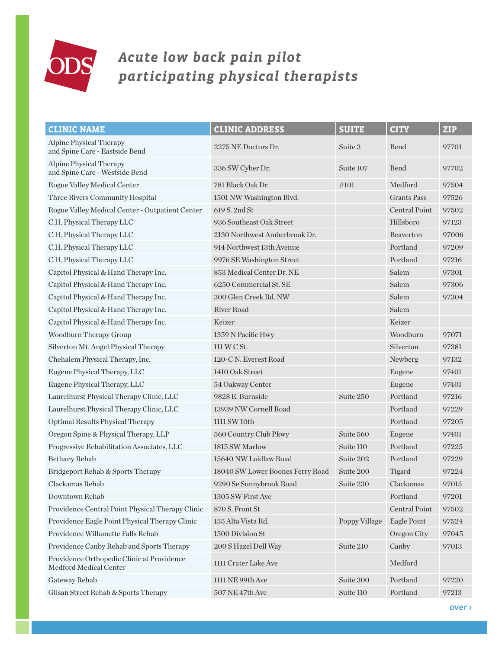

## *Acute low back pain pilot participating physical therapists*

| <b>CLINIC NAME</b>                                                   | <b>CLINIC ADDRESS</b>            | <b>SUITE</b>  | <b>CITY</b>          | <b>ZIP</b> |
|----------------------------------------------------------------------|----------------------------------|---------------|----------------------|------------|
| <b>Alpine Physical Therapy</b><br>and Spine Care - Eastside Bend     | 2275 NE Doctors Dr.              | Suite 3       | Bend                 | 97701      |
| Alpine Physical Therapy<br>and Spine Care - Westside Bend            | 336 SW Cyber Dr.                 | Suite 107     | Bend                 | 97702      |
| Rogue Valley Medical Center                                          | 781 Black Oak Dr.                | $\#101$       | Medford              | 97504      |
| Three Rivers Community Hospital                                      | 1501 NW Washington Blvd.         |               | <b>Grants Pass</b>   | 97526      |
| Rogue Valley Medical Center - Outpatient Center                      | 619 S. 2nd St                    |               | <b>Central Point</b> | 97502      |
| C.H. Physical Therapy LLC                                            | 936 Southeast Oak Street         |               | Hillsboro            | 97123      |
| C.H. Physical Therapy LLC                                            | 2130 Northwest Amberbrook Dr.    |               | Beaverton            | 97006      |
| C.H. Physical Therapy LLC                                            | 914 Northwest 13th Avenue        |               | Portland             | 97209      |
| C.H. Physical Therapy LLC                                            | 9976 SE Washington Street        |               | Portland             | 97216      |
| Capitol Physical & Hand Therapy Inc.                                 | 853 Medical Center Dr. NE        |               | Salem                | 97301      |
| Capitol Physical & Hand Therapy Inc.                                 | 6250 Commercial St. SE           |               | Salem                | 97306      |
| Capitol Physical & Hand Therapy Inc.                                 | 300 Glen Creek Rd. NW            |               | Salem                | 97304      |
| Capitol Physical & Hand Therapy Inc.                                 | <b>River Road</b>                |               | Salem                |            |
| Capitol Physical & Hand Therapy Inc.                                 | Keizer                           |               | Keizer               |            |
| Woodburn Therapy Group                                               | 1359 N Pacific Hwy               |               | Woodburn             | 97071      |
| Silverton Mt. Angel Physical Therapy                                 | 111 W C St.                      |               | Silverton            | 97381      |
| Chehalem Physical Therapy, Inc.                                      | 120-C N. Everest Road            |               | Newberg              | 97132      |
| Eugene Physical Therapy, LLC                                         | 1410 Oak Street                  |               | Eugene               | 97401      |
| Eugene Physical Therapy, LLC                                         | 54 Oakway Center                 |               | Eugene               | 97401      |
| Laurelhurst Physical Therapy Clinic, LLC                             | 9828 E. Burnside                 | Suite 250     | Portland             | 97216      |
| Laurelhurst Physical Therapy Clinic, LLC                             | 13939 NW Cornell Road            |               | Portland             | 97229      |
| Optimal Results Physical Therapy                                     | 1111 SW 10th                     |               | Portland             | 97205      |
| Oregon Spine & Physical Therapy, LLP                                 | 560 Country Club Pkwy            | Suite 560     | Eugene               | 97401      |
| Progressive Rehabilitation Associates, LLC                           | 1815 SW Marlow                   | Suite 110     | Portland             | 97225      |
| Bethany Rehab                                                        | 15640 NW Laidlaw Road            | Suite 202     | Portland             | 97229      |
| Bridgeport Rehab & Sports Therapy                                    | 18040 SW Lower Boones Ferry Road | Suite 200     | Tigard               | 97224      |
| Clackamas Rehab                                                      | 9290 Se Sunnybrook Road          | Suite 230     | Clackamas            | 97015      |
| Downtown Rehab                                                       | 1305 SW First Ave                |               | Portland             | 97201      |
| Providence Central Point Physical Therapy Clinic                     | 870 S. Front St                  |               | Central Point        | 97502      |
| Providence Eagle Point Physical Therapy Clinic                       | 155 Alta Vista Rd.               | Poppy Village | Eagle Point          | 97524      |
| Providence Willamette Falls Rehab                                    | 1500 Division St                 |               | Oregon City          | 97045      |
| Providence Canby Rehab and Sports Therapy                            | 200 S Hazel Dell Way             | Suite 210     | Canby                | 97013      |
| Providence Orthopedic Clinic at Providence<br>Medford Medical Center | 1111 Crater Lake Ave             |               | Medford              |            |
| Gateway Rehab                                                        | 1111 NE 99th Ave                 | Suite 300     | Portland             | 97220      |
| Glisan Street Rehab & Sports Therapy                                 | 507 NE 47th Ave                  | Suite 110     | Portland             | 97213      |